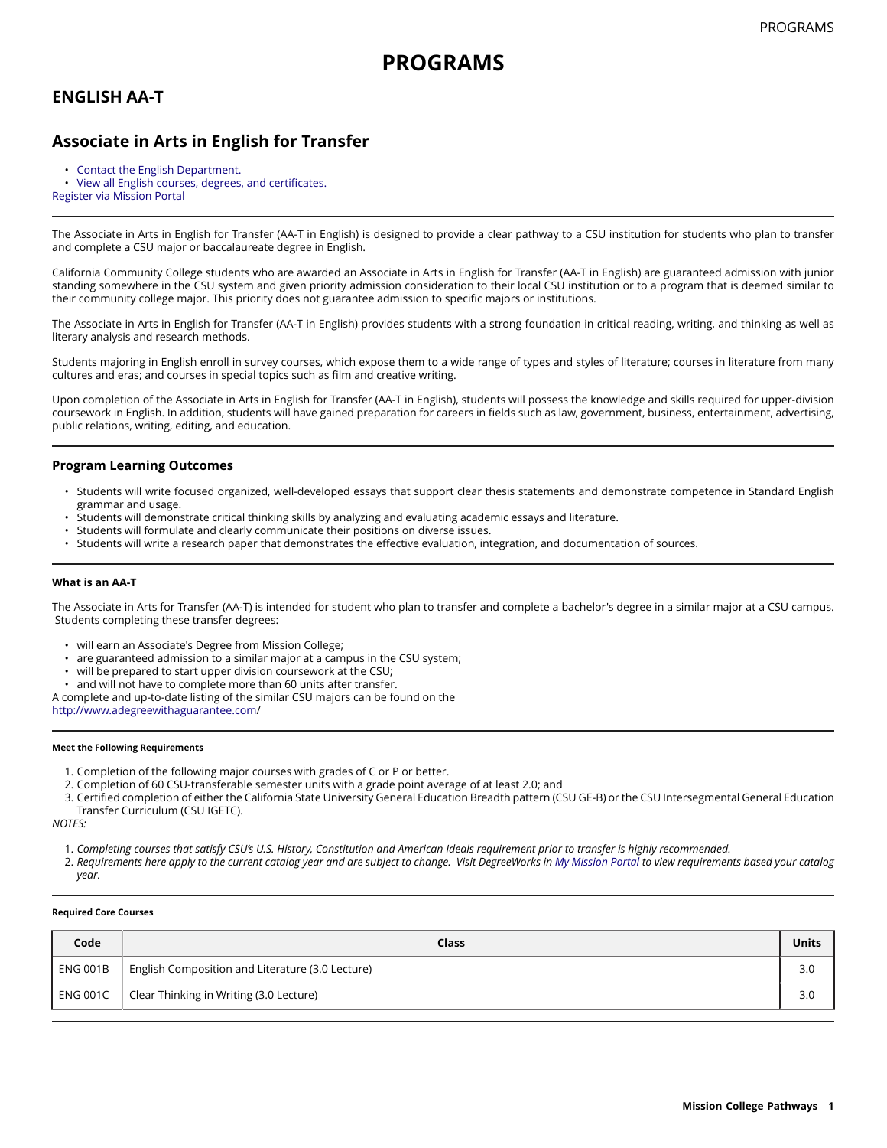# **ENGLISH AA-T**

# **Associate in Arts in English for Transfer**

- [Contact the English Department.](https://missioncollege.edu/depts/english)
- View all English courses, degrees, and [certificates.](http://majors.missioncollege.edu/current/courses/eng.html)

[Register via Mission Portal](https://web.wvm.edu/)

The Associate in Arts in English for Transfer (AA-T in English) is designed to provide a clear pathway to a CSU institution for students who plan to transfer and complete a CSU major or baccalaureate degree in English.

California Community College students who are awarded an Associate in Arts in English for Transfer (AA-T in English) are guaranteed admission with junior standing somewhere in the CSU system and given priority admission consideration to their local CSU institution or to a program that is deemed similar to their community college major. This priority does not guarantee admission to specific majors or institutions.

The Associate in Arts in English for Transfer (AA-T in English) provides students with a strong foundation in critical reading, writing, and thinking as well as literary analysis and research methods.

Students majoring in English enroll in survey courses, which expose them to a wide range of types and styles of literature; courses in literature from many cultures and eras; and courses in special topics such as film and creative writing.

Upon completion of the Associate in Arts in English for Transfer (AA-T in English), students will possess the knowledge and skills required for upper-division coursework in English. In addition, students will have gained preparation for careers in fields such as law, government, business, entertainment, advertising, public relations, writing, editing, and education.

## **Program Learning Outcomes**

- Students will write focused organized, well-developed essays that support clear thesis statements and demonstrate competence in Standard English grammar and usage.
- Students will demonstrate critical thinking skills by analyzing and evaluating academic essays and literature.
- Students will formulate and clearly communicate their positions on diverse issues.
- Students will write a research paper that demonstrates the effective evaluation, integration, and documentation of sources.

### **What is an AA-T**

The Associate in Arts for Transfer (AA-T) is intended for student who plan to transfer and complete a bachelor's degree in a similar major at a CSU campus. Students completing these transfer degrees:

- will earn an Associate's Degree from Mission College;
- are guaranteed admission to a similar major at a campus in the CSU system;
- will be prepared to start upper division coursework at the CSU;
- and will not have to complete more than 60 units after transfer.

A complete and up-to-date listing of the similar CSU majors can be found on the

[http://www.adegreewithaguarantee.com](http://www.adegreewithaguarantee.com/)/

#### **Meet the Following Requirements**

- 1. Completion of the following major courses with grades of C or P or better.
- 2. Completion of 60 CSU-transferable semester units with a grade point average of at least 2.0; and

3. Certified completion of either the California State University General Education Breadth pattern (CSU GE-B) or the CSU Intersegmental General Education Transfer Curriculum (CSU IGETC).

*NOTES:*

- 1. Completing courses that satisfy CSU's U.S. History, Constitution and American Ideals requirement prior to transfer is highly recommended.
- 2. Requirements here apply to the current catalog year and are subject to change. Visit DegreeWorks in [My Mission Portal](https://wvmccd.sharepoint.com/sites/MCPortal) to view requirements based your catalog *year.*

#### **Required Core Courses**

| Code     | Class                                            | <b>Units</b> |
|----------|--------------------------------------------------|--------------|
| ENG 001B | English Composition and Literature (3.0 Lecture) | 3.0          |
| ENG 001C | Clear Thinking in Writing (3.0 Lecture)          | 3.0          |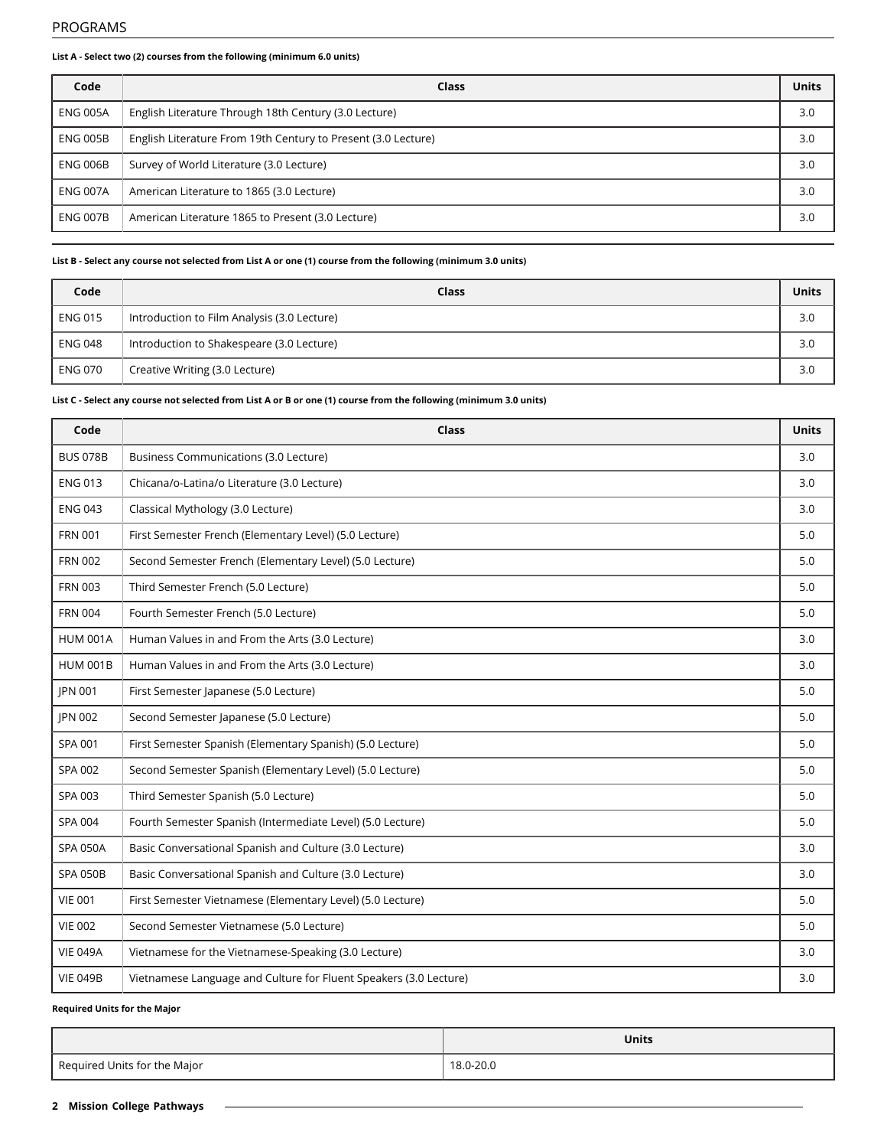### **List A - Select two (2) courses from the following (minimum 6.0 units)**

| Code            | Class                                                         | Units |
|-----------------|---------------------------------------------------------------|-------|
| ENG 005A        | English Literature Through 18th Century (3.0 Lecture)         | 3.0   |
| ENG 005B        | English Literature From 19th Century to Present (3.0 Lecture) | 3.0   |
| <b>ENG 006B</b> | Survey of World Literature (3.0 Lecture)                      | 3.0   |
| <b>ENG 007A</b> | American Literature to 1865 (3.0 Lecture)                     | 3.0   |
| <b>ENG 007B</b> | American Literature 1865 to Present (3.0 Lecture)             | 3.0   |

## List B - Select any course not selected from List A or one (1) course from the following (minimum 3.0 units)

| Code           | Class                                       | <b>Units</b> |
|----------------|---------------------------------------------|--------------|
| <b>ENG 015</b> | Introduction to Film Analysis (3.0 Lecture) | 3.0          |
| <b>ENG 048</b> | Introduction to Shakespeare (3.0 Lecture)   | 3.0          |
| <b>ENG 070</b> | Creative Writing (3.0 Lecture)              | 3.0          |

## List C - Select any course not selected from List A or B or one (1) course from the following (minimum 3.0 units)

| Code            | Class                                                             | <b>Units</b> |
|-----------------|-------------------------------------------------------------------|--------------|
| <b>BUS 078B</b> | Business Communications (3.0 Lecture)                             | 3.0          |
| <b>ENG 013</b>  | Chicana/o-Latina/o Literature (3.0 Lecture)                       | 3.0          |
| <b>ENG 043</b>  | Classical Mythology (3.0 Lecture)                                 | 3.0          |
| <b>FRN 001</b>  | First Semester French (Elementary Level) (5.0 Lecture)            | 5.0          |
| <b>FRN 002</b>  | Second Semester French (Elementary Level) (5.0 Lecture)           | 5.0          |
| <b>FRN 003</b>  | Third Semester French (5.0 Lecture)                               | 5.0          |
| <b>FRN 004</b>  | Fourth Semester French (5.0 Lecture)                              | 5.0          |
| <b>HUM 001A</b> | Human Values in and From the Arts (3.0 Lecture)                   | 3.0          |
| <b>HUM 001B</b> | Human Values in and From the Arts (3.0 Lecture)                   | 3.0          |
| <b>IPN 001</b>  | First Semester Japanese (5.0 Lecture)                             | 5.0          |
| JPN 002         | Second Semester Japanese (5.0 Lecture)                            | 5.0          |
| SPA 001         | First Semester Spanish (Elementary Spanish) (5.0 Lecture)         | 5.0          |
| SPA 002         | Second Semester Spanish (Elementary Level) (5.0 Lecture)          | 5.0          |
| SPA 003         | Third Semester Spanish (5.0 Lecture)                              | 5.0          |
| SPA 004         | Fourth Semester Spanish (Intermediate Level) (5.0 Lecture)        | 5.0          |
| <b>SPA 050A</b> | Basic Conversational Spanish and Culture (3.0 Lecture)            | 3.0          |
| <b>SPA 050B</b> | Basic Conversational Spanish and Culture (3.0 Lecture)            | 3.0          |
| <b>VIE 001</b>  | First Semester Vietnamese (Elementary Level) (5.0 Lecture)        | 5.0          |
| <b>VIE 002</b>  | Second Semester Vietnamese (5.0 Lecture)                          | 5.0          |
| <b>VIE 049A</b> | Vietnamese for the Vietnamese-Speaking (3.0 Lecture)              | 3.0          |
| <b>VIE 049B</b> | Vietnamese Language and Culture for Fluent Speakers (3.0 Lecture) | 3.0          |

## **Required Units for the Major**

|                              | <b>Units</b> |
|------------------------------|--------------|
| Required Units for the Major | 18.0-20.0    |